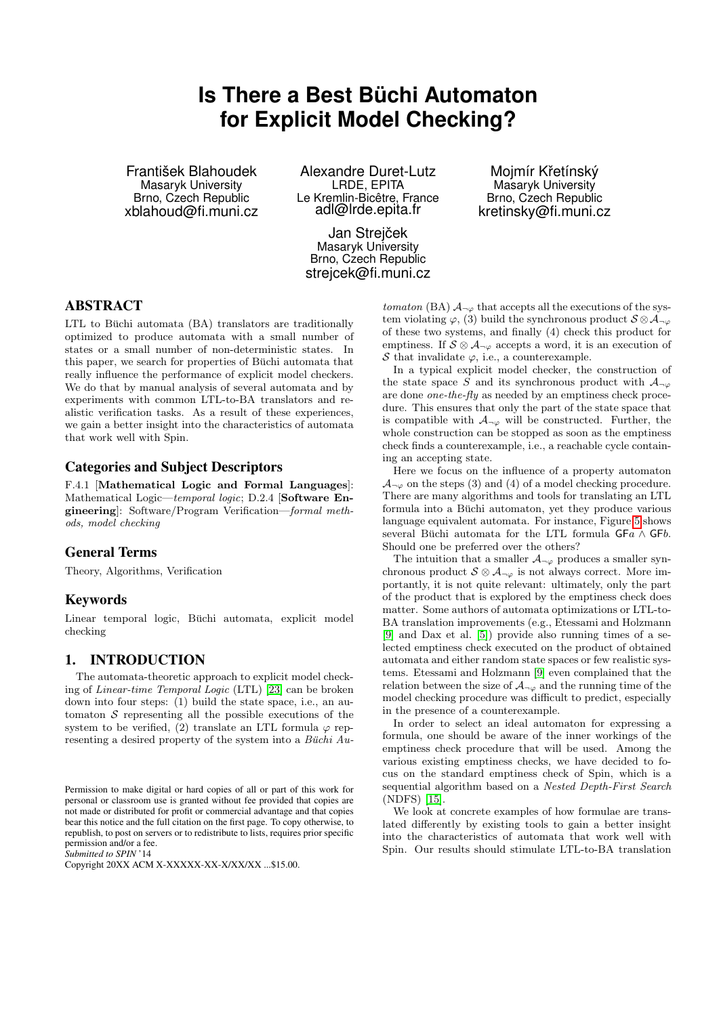# **Is There a Best Büchi Automaton for Explicit Model Checking?**

František Blahoudek Masaryk University Brno, Czech Republic xblahoud@fi.muni.cz

Alexandre Duret-Lutz LRDE, EPITA Le Kremlin-Bicêtre, France adl@lrde.epita.fr

Jan Strejček Masaryk University Brno, Czech Republic strejcek@fi.muni.cz

Mojmír Křetínský Masaryk University Brno, Czech Republic kretinsky@fi.muni.cz

# ABSTRACT

LTL to Büchi automata (BA) translators are traditionally optimized to produce automata with a small number of states or a small number of non-deterministic states. In this paper, we search for properties of Büchi automata that really influence the performance of explicit model checkers. We do that by manual analysis of several automata and by experiments with common LTL-to-BA translators and realistic verification tasks. As a result of these experiences, we gain a better insight into the characteristics of automata that work well with Spin.

## Categories and Subject Descriptors

F.4.1 [Mathematical Logic and Formal Languages]: Mathematical Logic—temporal logic; D.2.4 [Software Engineering]: Software/Program Verification—formal methods, model checking

### General Terms

Theory, Algorithms, Verification

# Keywords

Linear temporal logic, Büchi automata, explicit model checking

### 1. INTRODUCTION

The automata-theoretic approach to explicit model checking of Linear-time Temporal Logic (LTL) [\[23\]](#page-8-0) can be broken down into four steps: (1) build the state space, i.e., an automaton  $S$  representing all the possible executions of the system to be verified, (2) translate an LTL formula  $\varphi$  representing a desired property of the system into a Büchi  $Au$ 

*Submitted to SPIN* '14

tomaton (BA)  $A_{\neg \varphi}$  that accepts all the executions of the system violating  $\varphi$ , (3) build the synchronous product  $S \otimes A_{\neg \varphi}$ of these two systems, and finally (4) check this product for emptiness. If  $S \otimes A_{\neg \varphi}$  accepts a word, it is an execution of S that invalidate  $\varphi$ , i.e., a counterexample.

In a typical explicit model checker, the construction of the state space S and its synchronous product with  $A_{\neg\varphi}$ are done one-the-fly as needed by an emptiness check procedure. This ensures that only the part of the state space that is compatible with  $A_{\neg \varphi}$  will be constructed. Further, the whole construction can be stopped as soon as the emptiness check finds a counterexample, i.e., a reachable cycle containing an accepting state.

Here we focus on the influence of a property automaton  $\mathcal{A}_{\neg\varphi}$  on the steps (3) and (4) of a model checking procedure. There are many algorithms and tools for translating an LTL formula into a Büchi automaton, yet they produce various language equivalent automata. For instance, Figure [5](#page-5-0) shows several Büchi automata for the LTL formula  $GFa \wedge GFb$ . Should one be preferred over the others?

The intuition that a smaller  $\mathcal{A}_{\neg \varphi}$  produces a smaller synchronous product  $S \otimes A_{\neg \varphi}$  is not always correct. More importantly, it is not quite relevant: ultimately, only the part of the product that is explored by the emptiness check does matter. Some authors of automata optimizations or LTL-to-BA translation improvements (e.g., Etessami and Holzmann [\[9\]](#page-7-0) and Dax et al. [\[5\]](#page-7-1)) provide also running times of a selected emptiness check executed on the product of obtained automata and either random state spaces or few realistic systems. Etessami and Holzmann [\[9\]](#page-7-0) even complained that the relation between the size of  $\mathcal{A}_{\neg\varphi}$  and the running time of the model checking procedure was difficult to predict, especially in the presence of a counterexample.

In order to select an ideal automaton for expressing a formula, one should be aware of the inner workings of the emptiness check procedure that will be used. Among the various existing emptiness checks, we have decided to focus on the standard emptiness check of Spin, which is a sequential algorithm based on a Nested Depth-First Search (NDFS) [\[15\]](#page-8-1).

We look at concrete examples of how formulae are translated differently by existing tools to gain a better insight into the characteristics of automata that work well with Spin. Our results should stimulate LTL-to-BA translation

Permission to make digital or hard copies of all or part of this work for personal or classroom use is granted without fee provided that copies are not made or distributed for profit or commercial advantage and that copies bear this notice and the full citation on the first page. To copy otherwise, to republish, to post on servers or to redistribute to lists, requires prior specific permission and/or a fee.

Copyright 20XX ACM X-XXXXX-XX-X/XX/XX ...\$15.00.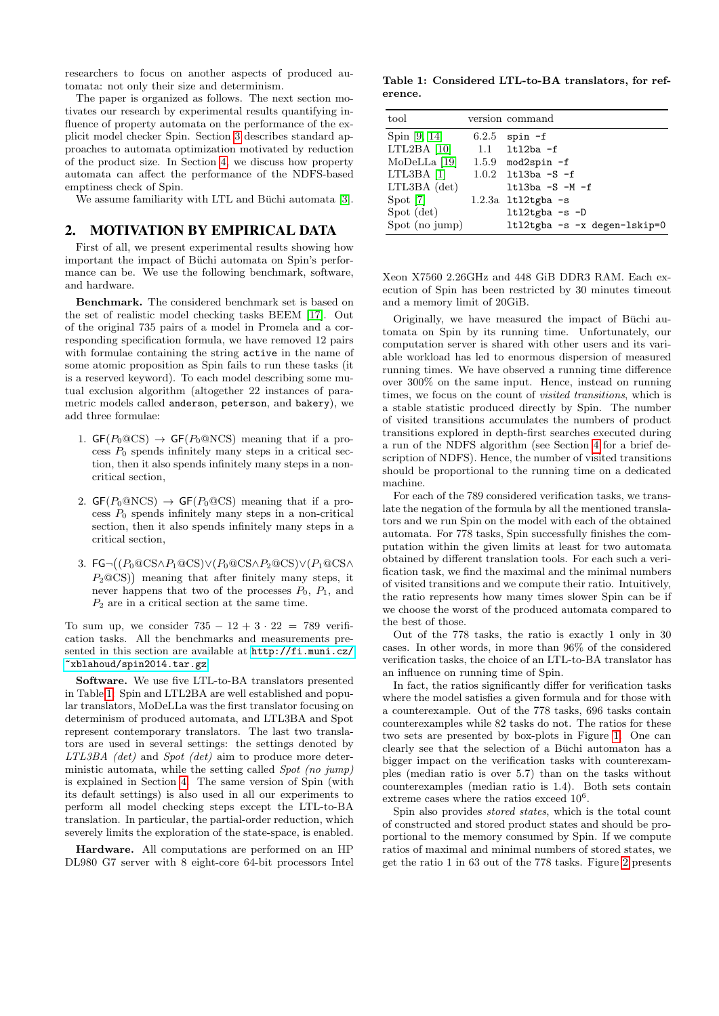researchers to focus on another aspects of produced automata: not only their size and determinism.

The paper is organized as follows. The next section motivates our research by experimental results quantifying influence of property automata on the performance of the explicit model checker Spin. Section [3](#page-2-0) describes standard approaches to automata optimization motivated by reduction of the product size. In Section [4,](#page-3-0) we discuss how property automata can affect the performance of the NDFS-based emptiness check of Spin.

We assume familiarity with LTL and Büchi automata [\[3\]](#page-7-2).

# 2. MOTIVATION BY EMPIRICAL DATA

First of all, we present experimental results showing how important the impact of Büchi automata on Spin's performance can be. We use the following benchmark, software, and hardware.

Benchmark. The considered benchmark set is based on the set of realistic model checking tasks BEEM [\[17\]](#page-8-2). Out of the original 735 pairs of a model in Promela and a corresponding specification formula, we have removed 12 pairs with formulae containing the string active in the name of some atomic proposition as Spin fails to run these tasks (it is a reserved keyword). To each model describing some mutual exclusion algorithm (altogether 22 instances of parametric models called anderson, peterson, and bakery), we add three formulae:

- 1.  $GF(P_0@CS) \rightarrow GF(P_0@NCS)$  meaning that if a process  $P_0$  spends infinitely many steps in a critical section, then it also spends infinitely many steps in a noncritical section,
- 2.  $GF(P_0@NCS) \rightarrow GF(P_0@CS)$  meaning that if a process  $P_0$  spends infinitely many steps in a non-critical section, then it also spends infinitely many steps in a critical section,
- 3.  $\mathsf{FG}\neg((P_0@{\mathrm{CS}}\wedge P_1@{\mathrm{CS}})\vee(P_0@{\mathrm{CS}}\wedge P_2@{\mathrm{CS}})\vee(P_1@{\mathrm{CS}}\wedge P_2@{\mathrm{CS}})$  $P_2 \text{QCS}$ ) meaning that after finitely many steps, it never happens that two of the processes  $P_0$ ,  $P_1$ , and  $P_2$  are in a critical section at the same time.

To sum up, we consider  $735 - 12 + 3 \cdot 22 = 789$  verification tasks. All the benchmarks and measurements presented in this section are available at [http://fi.muni.cz/](http://fi.muni.cz/~xblahoud/spin2014.tar.gz) [~xblahoud/spin2014.tar.gz](http://fi.muni.cz/~xblahoud/spin2014.tar.gz).

Software. We use five LTL-to-BA translators presented in Table [1:](#page-1-0) Spin and LTL2BA are well established and popular translators, MoDeLLa was the first translator focusing on determinism of produced automata, and LTL3BA and Spot represent contemporary translators. The last two translators are used in several settings: the settings denoted by LTL3BA (det) and Spot (det) aim to produce more deterministic automata, while the setting called Spot (no jump) is explained in Section [4.](#page-3-0) The same version of Spin (with its default settings) is also used in all our experiments to perform all model checking steps except the LTL-to-BA translation. In particular, the partial-order reduction, which severely limits the exploration of the state-space, is enabled.

Hardware. All computations are performed on an HP DL980 G7 server with 8 eight-core 64-bit processors Intel

<span id="page-1-0"></span>Table 1: Considered LTL-to-BA translators, for reference.

| tool           |       | version command                |
|----------------|-------|--------------------------------|
| Spin [9, 14]   | 6.2.5 | $spin-f$                       |
| $LTL2BA$ [10]  |       | $1.1$ 1tl2ba -f                |
| $MoDeLLa$ [19] |       | 1.5.9 mod2spin $-f$            |
| $LTL3BA$ [1]   |       | $1.0.2$ 1tl3ba -S -f           |
| LTL3BA (det)   |       | $ltl13ba$ -S -M -f             |
| Spot [7]       |       | $1.2.3a$ ltl $2$ tgba -s       |
| Spot (det)     |       | $ltl2tgba -s -D$               |
| Spot (no jump) |       | $ltl2tgba -s -x degen-lskip=0$ |

Xeon X7560 2.26GHz and 448 GiB DDR3 RAM. Each execution of Spin has been restricted by 30 minutes timeout and a memory limit of 20GiB.

Originally, we have measured the impact of Büchi automata on Spin by its running time. Unfortunately, our computation server is shared with other users and its variable workload has led to enormous dispersion of measured running times. We have observed a running time difference over 300% on the same input. Hence, instead on running times, we focus on the count of visited transitions, which is a stable statistic produced directly by Spin. The number of visited transitions accumulates the numbers of product transitions explored in depth-first searches executed during a run of the NDFS algorithm (see Section [4](#page-3-0) for a brief description of NDFS). Hence, the number of visited transitions should be proportional to the running time on a dedicated machine.

For each of the 789 considered verification tasks, we translate the negation of the formula by all the mentioned translators and we run Spin on the model with each of the obtained automata. For 778 tasks, Spin successfully finishes the computation within the given limits at least for two automata obtained by different translation tools. For each such a verification task, we find the maximal and the minimal numbers of visited transitions and we compute their ratio. Intuitively, the ratio represents how many times slower Spin can be if we choose the worst of the produced automata compared to the best of those.

Out of the 778 tasks, the ratio is exactly 1 only in 30 cases. In other words, in more than 96% of the considered verification tasks, the choice of an LTL-to-BA translator has an influence on running time of Spin.

In fact, the ratios significantly differ for verification tasks where the model satisfies a given formula and for those with a counterexample. Out of the 778 tasks, 696 tasks contain counterexamples while 82 tasks do not. The ratios for these two sets are presented by box-plots in Figure [1.](#page-2-1) One can clearly see that the selection of a Büchi automaton has a bigger impact on the verification tasks with counterexamples (median ratio is over 5.7) than on the tasks without counterexamples (median ratio is 1.4). Both sets contain extreme cases where the ratios exceed  $10^6$ .

Spin also provides stored states, which is the total count of constructed and stored product states and should be proportional to the memory consumed by Spin. If we compute ratios of maximal and minimal numbers of stored states, we get the ratio 1 in 63 out of the 778 tasks. Figure [2](#page-2-2) presents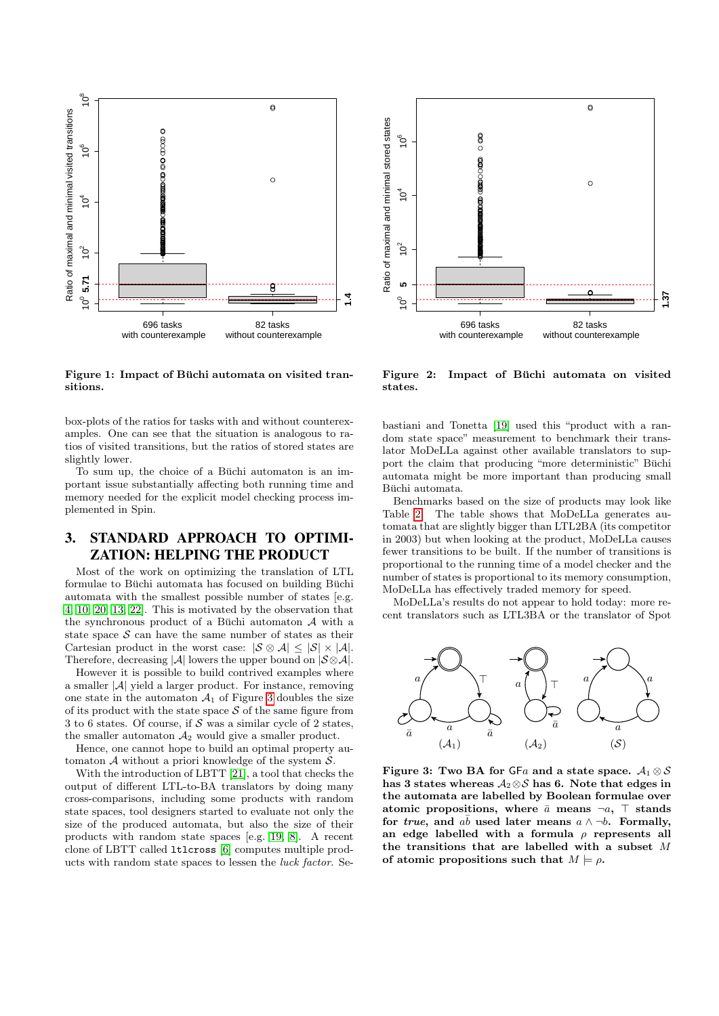

<span id="page-2-1"></span>Figure 1: Impact of Büchi automata on visited transitions.

box-plots of the ratios for tasks with and without counterexamples. One can see that the situation is analogous to ratios of visited transitions, but the ratios of stored states are slightly lower.

To sum up, the choice of a Büchi automaton is an important issue substantially affecting both running time and memory needed for the explicit model checking process implemented in Spin.

# <span id="page-2-0"></span>3. STANDARD APPROACH TO OPTIMI-ZATION: HELPING THE PRODUCT

Most of the work on optimizing the translation of LTL formulae to Büchi automata has focused on building Büchi automata with the smallest possible number of states [e.g. [4,](#page-7-6) [10,](#page-7-3) [20,](#page-8-5) [13,](#page-7-7) [22\]](#page-8-6). This is motivated by the observation that the synchronous product of a Büchi automaton  $A$  with a state space  $S$  can have the same number of states as their Cartesian product in the worst case:  $|\mathcal{S} \otimes \mathcal{A}| \leq |\mathcal{S}| \times |\mathcal{A}|$ . Therefore, decreasing |A| lowers the upper bound on  $|\mathcal{S} \otimes \mathcal{A}|$ .

However it is possible to build contrived examples where a smaller  $|\mathcal{A}|$  yield a larger product. For instance, removing one state in the automaton  $A_1$  of Figure [3](#page-2-3) doubles the size of its product with the state space  $S$  of the same figure from 3 to 6 states. Of course, if  $S$  was a similar cycle of 2 states, the smaller automaton  $A_2$  would give a smaller product.

Hence, one cannot hope to build an optimal property automaton  $A$  without a priori knowledge of the system  $S$ .

With the introduction of LBTT [\[21\]](#page-8-7), a tool that checks the output of different LTL-to-BA translators by doing many cross-comparisons, including some products with random state spaces, tool designers started to evaluate not only the size of the produced automata, but also the size of their products with random state spaces [e.g. [19,](#page-8-4) [8\]](#page-7-8). A recent clone of LBTT called ltlcross [\[6\]](#page-7-9) computes multiple products with random state spaces to lessen the luck factor. Se-



<span id="page-2-2"></span>Figure 2: Impact of Büchi automata on visited states.

bastiani and Tonetta [\[19\]](#page-8-4) used this "product with a random state space" measurement to benchmark their translator MoDeLLa against other available translators to support the claim that producing "more deterministic" Büchi automata might be more important than producing small Büchi automata.

Benchmarks based on the size of products may look like Table [2.](#page-3-1) The table shows that MoDeLLa generates automata that are slightly bigger than LTL2BA (its competitor in 2003) but when looking at the product, MoDeLLa causes fewer transitions to be built. If the number of transitions is proportional to the running time of a model checker and the number of states is proportional to its memory consumption, MoDeLLa has effectively traded memory for speed.

MoDeLLa's results do not appear to hold today: more recent translators such as LTL3BA or the translator of Spot



<span id="page-2-3"></span>Figure 3: Two BA for GFa and a state space.  $A_1 \otimes S$ has 3 states whereas  $A_2 \otimes S$  has 6. Note that edges in the automata are labelled by Boolean formulae over atomic propositions, where  $\bar{a}$  means  $\neg a$ ,  $\top$  stands for true, and ab used later means  $a \wedge \neg b$ . Formally, an edge labelled with a formula  $\rho$  represents all the transitions that are labelled with a subset M of atomic propositions such that  $M \models \rho$ .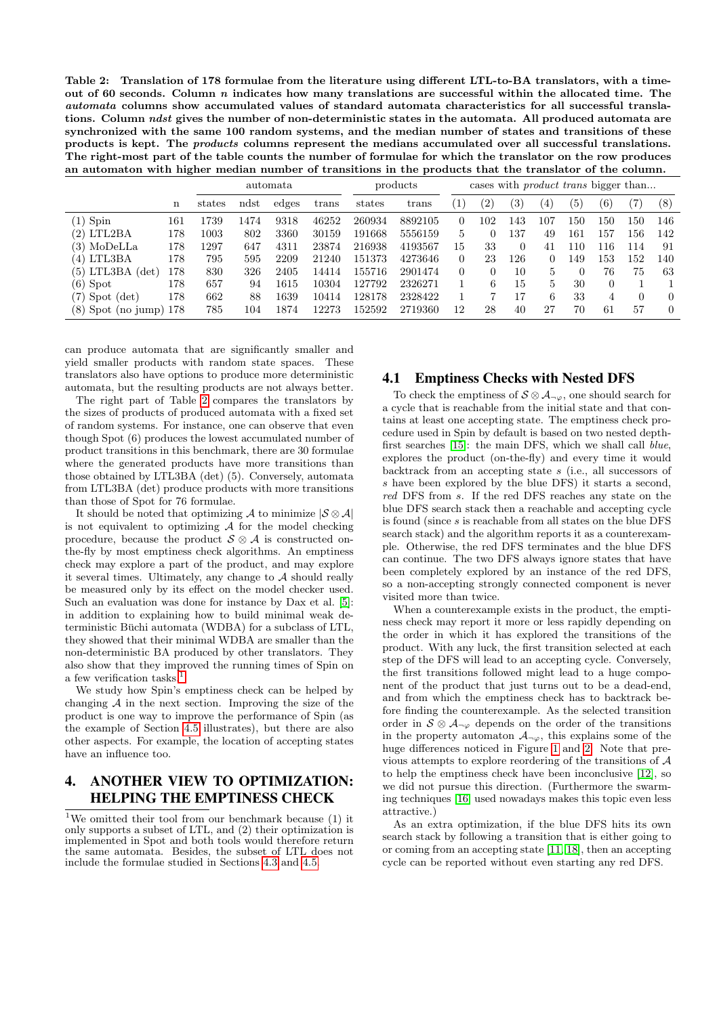<span id="page-3-1"></span>Table 2: Translation of 178 formulae from the literature using different LTL-to-BA translators, with a timeout of 60 seconds. Column n indicates how many translations are successful within the allocated time. The automata columns show accumulated values of standard automata characteristics for all successful translations. Column ndst gives the number of non-deterministic states in the automata. All produced automata are synchronized with the same 100 random systems, and the median number of states and transitions of these products is kept. The products columns represent the medians accumulated over all successful translations. The right-most part of the table counts the number of formulae for which the translator on the row produces an automaton with higher median number of transitions in the products that the translator of the column.

|                             |     | automata |      |       | products |        | cases with <i>product trans</i> bigger than |                   |     |                   |          |     |                   |          |          |
|-----------------------------|-----|----------|------|-------|----------|--------|---------------------------------------------|-------------------|-----|-------------------|----------|-----|-------------------|----------|----------|
|                             | n   | states   | ndst | edges | trans    | states | trans                                       | $\left( 1\right)$ | (2) | $\left( 3\right)$ | (4)      | (5) | $\left( 6\right)$ | $^{(7)}$ | $^{(8)}$ |
| Spin<br>(1)                 | 161 | 1739     | 1474 | 9318  | 46252    | 260934 | 8892105                                     | $\Omega$          | 102 | 143               | 107      | 150 | 150               | 150      | 146      |
| (2) LTL2BA                  | 178 | $1003\,$ | 802  | 3360  | 30159    | 191668 | 5556159                                     | $\overline{5}$    | 0   | 137               | 49       | 161 | 157               | 156      | 142      |
| MoDeLLa<br>(3)              | 178 | 1297     | 647  | 4311  | 23874    | 216938 | 4193567                                     | 15                | 33  | 0                 | 41       | 110 | 116               | 114      | 91       |
| $(4)$ LTL3BA                | 178 | 795      | 595  | 2209  | 21240    | 151373 | 4273646                                     | $\Omega$          | 23  | 126               | $\Omega$ | 149 | 153               | 152      | 140      |
| $(5)$ LTL3BA $(det)$        | 178 | 830      | 326  | 2405  | 14414    | 155716 | 2901474                                     | $\theta$          | 0   | 10                | 5        |     | 76                | 75       | 63       |
| Spot<br>(6)                 | 178 | 657      | 94   | 1615  | 10304    | 127792 | 2326271                                     |                   | 6   | 15                | 5        | 30  | $\Omega$          |          |          |
| Spot (det)<br>(7)           | 178 | 662      | 88   | 1639  | 10414    | 128178 | 2328422                                     | 1                 |     | 17                | 6        | 33  | 4                 | 0        | $\Omega$ |
| Spot (no jump) $178$<br>(8) |     | 785      | 104  | 1874  | 12273    | 152592 | 2719360                                     | 12                | 28  | 40                | 27       | 70  | 61                | 57       | $\Omega$ |

can produce automata that are significantly smaller and yield smaller products with random state spaces. These translators also have options to produce more deterministic automata, but the resulting products are not always better.

The right part of Table [2](#page-3-1) compares the translators by the sizes of products of produced automata with a fixed set of random systems. For instance, one can observe that even though Spot (6) produces the lowest accumulated number of product transitions in this benchmark, there are 30 formulae where the generated products have more transitions than those obtained by LTL3BA (det) (5). Conversely, automata from LTL3BA (det) produce products with more transitions than those of Spot for 76 formulae.

It should be noted that optimizing A to minimize  $|\mathcal{S} \otimes \mathcal{A}|$ is not equivalent to optimizing  $A$  for the model checking procedure, because the product  $S \otimes A$  is constructed onthe-fly by most emptiness check algorithms. An emptiness check may explore a part of the product, and may explore it several times. Ultimately, any change to  $A$  should really be measured only by its effect on the model checker used. Such an evaluation was done for instance by Dax et al. [\[5\]](#page-7-1): in addition to explaining how to build minimal weak deterministic Büchi automata (WDBA) for a subclass of LTL, they showed that their minimal WDBA are smaller than the non-deterministic BA produced by other translators. They also show that they improved the running times of Spin on a few verification tasks.<sup>[1](#page-3-2)</sup>

We study how Spin's emptiness check can be helped by changing  $A$  in the next section. Improving the size of the product is one way to improve the performance of Spin (as the example of Section [4.5](#page-5-1) illustrates), but there are also other aspects. For example, the location of accepting states have an influence too.

# <span id="page-3-0"></span>4. ANOTHER VIEW TO OPTIMIZATION: HELPING THE EMPTINESS CHECK

### 4.1 Emptiness Checks with Nested DFS

To check the emptiness of  $S \otimes A_{\neg \varphi}$ , one should search for a cycle that is reachable from the initial state and that contains at least one accepting state. The emptiness check procedure used in Spin by default is based on two nested depthfirst searches [\[15\]](#page-8-1): the main DFS, which we shall call blue, explores the product (on-the-fly) and every time it would backtrack from an accepting state s (i.e., all successors of s have been explored by the blue DFS) it starts a second, red DFS from s. If the red DFS reaches any state on the blue DFS search stack then a reachable and accepting cycle is found (since s is reachable from all states on the blue DFS search stack) and the algorithm reports it as a counterexample. Otherwise, the red DFS terminates and the blue DFS can continue. The two DFS always ignore states that have been completely explored by an instance of the red DFS, so a non-accepting strongly connected component is never visited more than twice.

When a counterexample exists in the product, the emptiness check may report it more or less rapidly depending on the order in which it has explored the transitions of the product. With any luck, the first transition selected at each step of the DFS will lead to an accepting cycle. Conversely, the first transitions followed might lead to a huge component of the product that just turns out to be a dead-end, and from which the emptiness check has to backtrack before finding the counterexample. As the selected transition order in  $S \otimes A_{\neg \varphi}$  depends on the order of the transitions in the property automaton  $A_{\neg \varphi}$ , this explains some of the huge differences noticed in Figure [1](#page-2-1) and [2.](#page-2-2) Note that previous attempts to explore reordering of the transitions of A to help the emptiness check have been inconclusive [\[12\]](#page-7-10), so we did not pursue this direction. (Furthermore the swarming techniques [\[16\]](#page-8-8) used nowadays makes this topic even less attractive.)

As an extra optimization, if the blue DFS hits its own search stack by following a transition that is either going to or coming from an accepting state [\[11,](#page-7-11) [18\]](#page-8-9), then an accepting cycle can be reported without even starting any red DFS.

<span id="page-3-2"></span><sup>&</sup>lt;sup>1</sup>We omitted their tool from our benchmark because  $(1)$  it only supports a subset of LTL, and (2) their optimization is implemented in Spot and both tools would therefore return the same automata. Besides, the subset of LTL does not include the formulae studied in Sections [4.3](#page-4-0) and [4.5.](#page-5-1)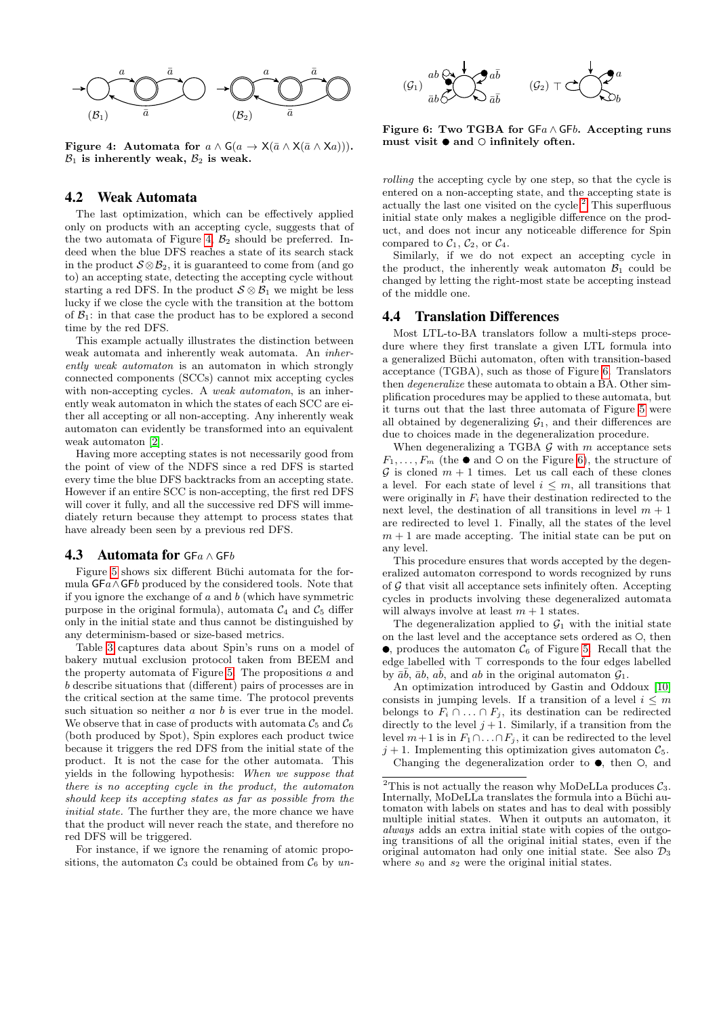

<span id="page-4-1"></span>Figure 4: Automata for  $a \wedge G(a \rightarrow X(\bar{a} \wedge X(\bar{a} \wedge Xa)))$ .  $\mathcal{B}_1$  is inherently weak,  $\mathcal{B}_2$  is weak.

#### 4.2 Weak Automata

The last optimization, which can be effectively applied only on products with an accepting cycle, suggests that of the two automata of Figure [4,](#page-4-1)  $\mathcal{B}_2$  should be preferred. Indeed when the blue DFS reaches a state of its search stack in the product  $S \otimes B_2$ , it is guaranteed to come from (and go to) an accepting state, detecting the accepting cycle without starting a red DFS. In the product  $S \otimes B_1$  we might be less lucky if we close the cycle with the transition at the bottom of  $\mathcal{B}_1$ : in that case the product has to be explored a second time by the red DFS.

This example actually illustrates the distinction between weak automata and inherently weak automata. An inherently weak automaton is an automaton in which strongly connected components (SCCs) cannot mix accepting cycles with non-accepting cycles. A weak automaton, is an inherently weak automaton in which the states of each SCC are either all accepting or all non-accepting. Any inherently weak automaton can evidently be transformed into an equivalent weak automaton [\[2\]](#page-7-12).

Having more accepting states is not necessarily good from the point of view of the NDFS since a red DFS is started every time the blue DFS backtracks from an accepting state. However if an entire SCC is non-accepting, the first red DFS will cover it fully, and all the successive red DFS will immediately return because they attempt to process states that have already been seen by a previous red DFS.

#### <span id="page-4-0"></span>4.3 Automata for  $GFa \wedge GFB$

Figure [5](#page-5-0) shows six different Buchi automata for the formula GFa∧GFb produced by the considered tools. Note that if you ignore the exchange of  $a$  and  $b$  (which have symmetric purpose in the original formula), automata  $C_4$  and  $C_5$  differ only in the initial state and thus cannot be distinguished by any determinism-based or size-based metrics.

Table [3](#page-5-2) captures data about Spin's runs on a model of bakery mutual exclusion protocol taken from BEEM and the property automata of Figure [5.](#page-5-0) The propositions  $a$  and b describe situations that (different) pairs of processes are in the critical section at the same time. The protocol prevents such situation so neither a nor b is ever true in the model. We observe that in case of products with automata  $\mathcal{C}_5$  and  $\mathcal{C}_6$ (both produced by Spot), Spin explores each product twice because it triggers the red DFS from the initial state of the product. It is not the case for the other automata. This yields in the following hypothesis: When we suppose that there is no accepting cycle in the product, the automaton should keep its accepting states as far as possible from the initial state. The further they are, the more chance we have that the product will never reach the state, and therefore no red DFS will be triggered.

For instance, if we ignore the renaming of atomic propositions, the automaton  $C_3$  could be obtained from  $C_6$  by un-



<span id="page-4-3"></span>Figure 6: Two TGBA for  $GFa \wedge GFb$ . Accepting runs must visit  $\bullet$  and  $\circ$  infinitely often.

rolling the accepting cycle by one step, so that the cycle is entered on a non-accepting state, and the accepting state is actually the last one visited on the cycle. $2$  This superfluous initial state only makes a negligible difference on the product, and does not incur any noticeable difference for Spin compared to  $C_1$ ,  $C_2$ , or  $C_4$ .

Similarly, if we do not expect an accepting cycle in the product, the inherently weak automaton  $\mathcal{B}_1$  could be changed by letting the right-most state be accepting instead of the middle one.

#### 4.4 Translation Differences

Most LTL-to-BA translators follow a multi-steps procedure where they first translate a given LTL formula into a generalized Büchi automaton, often with transition-based acceptance (TGBA), such as those of Figure [6.](#page-4-3) Translators then degeneralize these automata to obtain a BA. Other simplification procedures may be applied to these automata, but it turns out that the last three automata of Figure [5](#page-5-0) were all obtained by degeneralizing  $\mathcal{G}_1$ , and their differences are due to choices made in the degeneralization procedure.

When degeneralizing a TGBA  $G$  with m acceptance sets  $F_1, \ldots, F_m$  (the  $\bullet$  and  $\circ$  on the Figure [6\)](#page-4-3), the structure of  $G$  is cloned  $m + 1$  times. Let us call each of these clones a level. For each state of level  $i \leq m$ , all transitions that were originally in  $F_i$  have their destination redirected to the next level, the destination of all transitions in level  $m + 1$ are redirected to level 1. Finally, all the states of the level  $m + 1$  are made accepting. The initial state can be put on any level.

This procedure ensures that words accepted by the degeneralized automaton correspond to words recognized by runs of  $G$  that visit all acceptance sets infinitely often. Accepting cycles in products involving these degeneralized automata will always involve at least  $m + 1$  states.

The degeneralization applied to  $\mathcal{G}_1$  with the initial state on the last level and the acceptance sets ordered as  $\circlearrowleft$ , then  $\bullet$ , produces the automaton  $\mathcal{C}_6$  of Figure [5.](#page-5-0) Recall that the edge labelled with  $\top$  corresponds to the four edges labelled by  $\bar{a}\bar{b}$ ,  $\bar{a}b$ ,  $a\bar{b}$ , and  $ab$  in the original automaton  $\mathcal{G}_1$ .

An optimization introduced by Gastin and Oddoux [\[10\]](#page-7-3) consists in jumping levels. If a transition of a level  $i \leq m$ belongs to  $F_i \cap \ldots \cap F_j$ , its destination can be redirected directly to the level  $j + 1$ . Similarly, if a transition from the level  $m+1$  is in  $F_1 \cap ... \cap F_j$ , it can be redirected to the level  $j + 1$ . Implementing this optimization gives automaton  $\mathcal{C}_5$ .

Changing the degeneralization order to  $\bullet$ , then  $\circ$ , and

<span id="page-4-2"></span><sup>&</sup>lt;sup>2</sup>This is not actually the reason why MoDeLLa produces  $C_3$ . Internally, MoDeLLa translates the formula into a Buchi automaton with labels on states and has to deal with possibly multiple initial states. When it outputs an automaton, it always adds an extra initial state with copies of the outgoing transitions of all the original initial states, even if the original automaton had only one initial state. See also  $\mathcal{D}_3$ where  $s_0$  and  $s_2$  were the original initial states.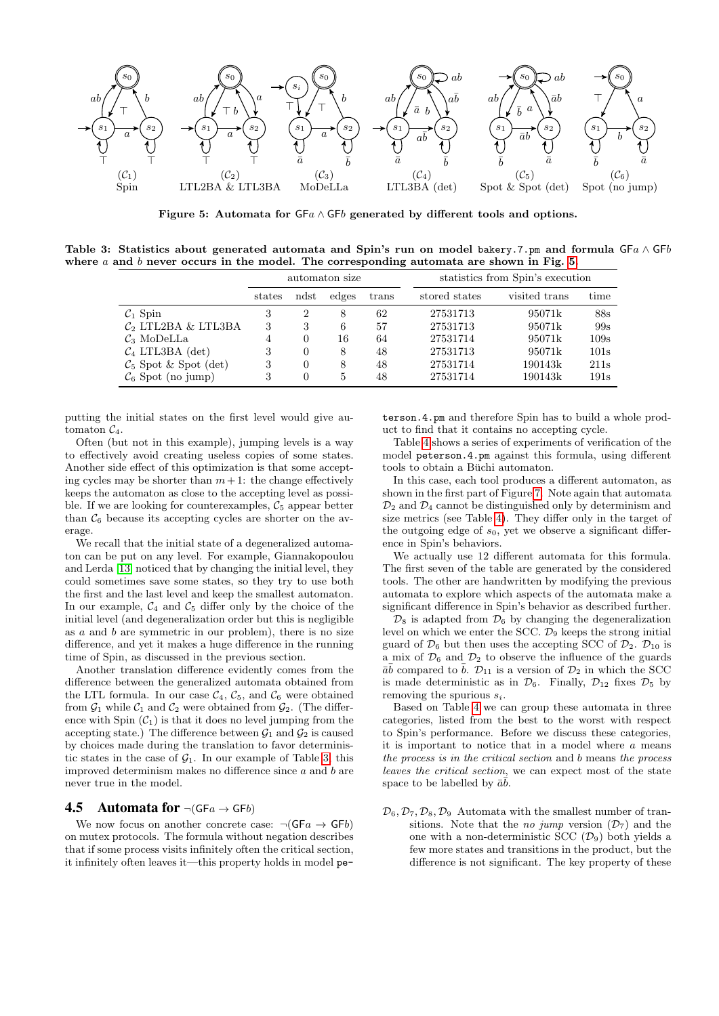

<span id="page-5-0"></span>Figure 5: Automata for  $GFA \wedge GFB$  generated by different tools and options.

Table 3: Statistics about generated automata and Spin's run on model bakery.7.pm and formula GFa ∧ GFb where a and b never occurs in the model. The corresponding automata are shown in Fig. [5.](#page-5-0)

<span id="page-5-2"></span>

|                                   |        |          | automaton size |       | statistics from Spin's execution |               |      |  |  |
|-----------------------------------|--------|----------|----------------|-------|----------------------------------|---------------|------|--|--|
|                                   | states | ndst     | edges          | trans | stored states                    | visited trans | time |  |  |
| $C_1$ Spin                        | 3      | 2        | 8              | 62    | 27531713                         | 95071k        | 88s  |  |  |
| $C_2$ LTL2BA & LTL3BA             | 3      | 3        | 6              | 57    | 27531713                         | 95071k        | 99s  |  |  |
| $\mathcal{C}_3$ MoDeLLa           | 4      | $\Omega$ | 16             | 64    | 27531714                         | 95071k        | 109s |  |  |
| $C_4$ LTL3BA (det)                | 3      | $\Omega$ | 8              | 48    | 27531713                         | 95071k        | 101s |  |  |
| $\mathcal{C}_5$ Spot & Spot (det) | 3      | $\Omega$ | 8              | 48    | 27531714                         | 190143k       | 211s |  |  |
| $\mathcal{C}_6$ Spot (no jump)    | 3      | $\theta$ | 5              | 48    | 27531714                         | 190143k       | 191s |  |  |

putting the initial states on the first level would give automaton  $C_4$ .

Often (but not in this example), jumping levels is a way to effectively avoid creating useless copies of some states. Another side effect of this optimization is that some accepting cycles may be shorter than  $m + 1$ : the change effectively keeps the automaton as close to the accepting level as possible. If we are looking for counterexamples,  $\mathcal{C}_5$  appear better than  $\mathcal{C}_6$  because its accepting cycles are shorter on the average.

We recall that the initial state of a degeneralized automaton can be put on any level. For example, Giannakopoulou and Lerda [\[13\]](#page-7-7) noticed that by changing the initial level, they could sometimes save some states, so they try to use both the first and the last level and keep the smallest automaton. In our example,  $C_4$  and  $C_5$  differ only by the choice of the initial level (and degeneralization order but this is negligible as  $a$  and  $b$  are symmetric in our problem), there is no size difference, and yet it makes a huge difference in the running time of Spin, as discussed in the previous section.

Another translation difference evidently comes from the difference between the generalized automata obtained from the LTL formula. In our case  $C_4$ ,  $C_5$ , and  $C_6$  were obtained from  $\mathcal{G}_1$  while  $\mathcal{C}_1$  and  $\mathcal{C}_2$  were obtained from  $\mathcal{G}_2$ . (The difference with Spin  $(C_1)$  is that it does no level jumping from the accepting state.) The difference between  $\mathcal{G}_1$  and  $\mathcal{G}_2$  is caused by choices made during the translation to favor deterministic states in the case of  $\mathcal{G}_1$ . In our example of Table [3,](#page-5-2) this improved determinism makes no difference since  $a$  and  $b$  are never true in the model.

#### <span id="page-5-1"></span>**4.5 Automata for**  $\neg$ (GFa  $\rightarrow$  GFb)

We now focus on another concrete case:  $\neg(GFa \rightarrow GFb)$ on mutex protocols. The formula without negation describes that if some process visits infinitely often the critical section, it infinitely often leaves it—this property holds in model peterson.4.pm and therefore Spin has to build a whole product to find that it contains no accepting cycle.

Table [4](#page-6-0) shows a series of experiments of verification of the model peterson.4.pm against this formula, using different tools to obtain a Büchi automaton.

In this case, each tool produces a different automaton, as shown in the first part of Figure [7.](#page-6-1) Note again that automata  $\mathcal{D}_2$  and  $\mathcal{D}_4$  cannot be distinguished only by determinism and size metrics (see Table [4\)](#page-6-0). They differ only in the target of the outgoing edge of  $s_0$ , yet we observe a significant difference in Spin's behaviors.

We actually use 12 different automata for this formula. The first seven of the table are generated by the considered tools. The other are handwritten by modifying the previous automata to explore which aspects of the automata make a significant difference in Spin's behavior as described further.

 $\mathcal{D}_8$  is adapted from  $\mathcal{D}_6$  by changing the degeneralization level on which we enter the SCC.  $\mathcal{D}_9$  keeps the strong initial guard of  $\mathcal{D}_6$  but then uses the accepting SCC of  $\mathcal{D}_2$ .  $\mathcal{D}_{10}$  is a mix of  $\mathcal{D}_6$  and  $\mathcal{D}_2$  to observe the influence of the guards  $\bar{a}\bar{b}$  compared to  $\bar{b}$ .  $\mathcal{D}_{11}$  is a version of  $\mathcal{D}_2$  in which the SCC is made deterministic as in  $\mathcal{D}_6$ . Finally,  $\mathcal{D}_{12}$  fixes  $\mathcal{D}_5$  by removing the spurious  $s_i$ .

Based on Table [4](#page-6-0) we can group these automata in three categories, listed from the best to the worst with respect to Spin's performance. Before we discuss these categories, it is important to notice that in a model where  $a$  means the process is in the critical section and b means the process leaves the critical section, we can expect most of the state space to be labelled by  $\bar{a}\bar{b}$ .

 $\mathcal{D}_6, \mathcal{D}_7, \mathcal{D}_8, \mathcal{D}_9$  Automata with the smallest number of transitions. Note that the *no jump* version  $(\mathcal{D}_7)$  and the one with a non-deterministic SCC  $(\mathcal{D}_9)$  both yields a few more states and transitions in the product, but the difference is not significant. The key property of these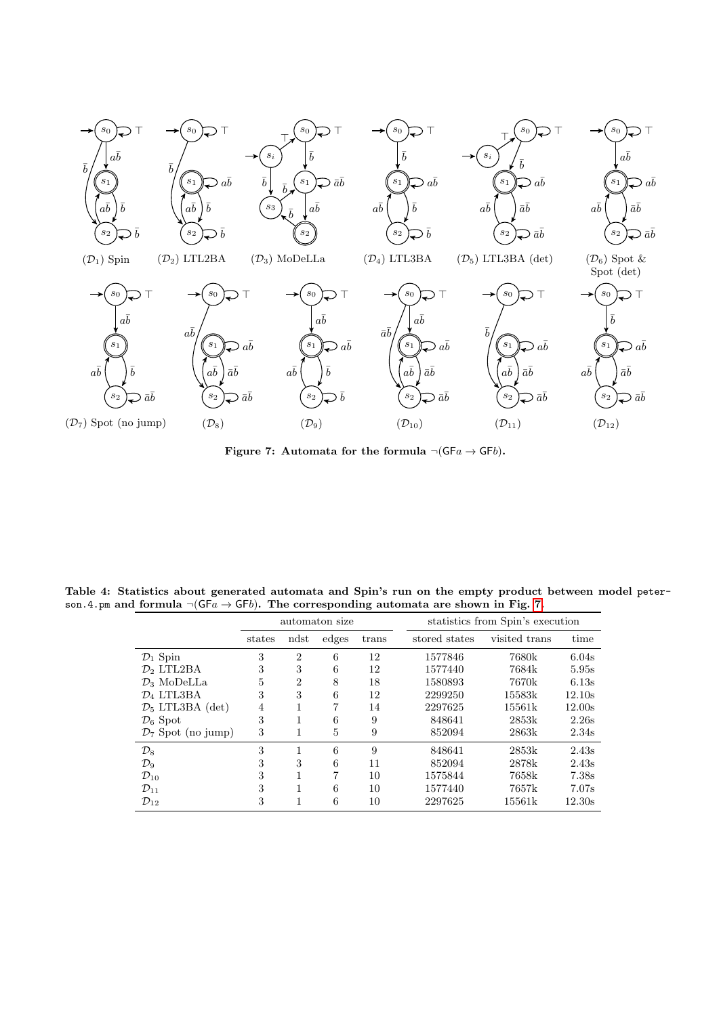

<span id="page-6-1"></span>Figure 7: Automata for the formula  $\neg(GFa \rightarrow GFb)$ .

Table 4: Statistics about generated automata and Spin's run on the empty product between model peterson.4.pm and formula  $\neg(GF_a \rightarrow GF_b)$ . The corresponding automata are shown in Fig. [7.](#page-6-1)  $\overline{a}$ 

<span id="page-6-0"></span>

|                                |        |                | automaton size |       | statistics from Spin's execution |               |        |  |  |  |
|--------------------------------|--------|----------------|----------------|-------|----------------------------------|---------------|--------|--|--|--|
|                                | states | ndst           | edges          | trans | stored states                    | visited trans | time   |  |  |  |
| $\mathcal{D}_1$ Spin           | 3      | $\overline{2}$ | 6              | 12    | 1577846                          | 7680k         | 6.04s  |  |  |  |
| $\mathcal{D}_2$ LTL2BA         | 3      | 3              | 6              | 12    | 1577440                          | 7684k         | 5.95s  |  |  |  |
| $\mathcal{D}_3$ MoDeLLa        | 5      | $\overline{2}$ | 8              | 18    | 1580893                          | 7670k         | 6.13s  |  |  |  |
| $\mathcal{D}_4$ LTL3BA         | 3      | 3              | 6              | 12    | 2299250                          | 15583k        | 12.10s |  |  |  |
| $\mathcal{D}_5$ LTL3BA (det)   | 4      | 1              | 7              | 14    | 2297625                          | 15561k        | 12.00s |  |  |  |
| $\mathcal{D}_6$ Spot           | 3      | 1              | 6              | 9     | 848641                           | 2853k         | 2.26s  |  |  |  |
| $\mathcal{D}_7$ Spot (no jump) | 3      | 1              | 5              | 9     | 852094                           | 2863k         | 2.34s  |  |  |  |
| $\mathcal{D}_8$                | 3      | 1              | 6              | 9     | 848641                           | 2853k         | 2.43s  |  |  |  |
| $\mathcal{D}_9$                | 3      | 3              | 6              | 11    | 852094                           | 2878k         | 2.43s  |  |  |  |
| $\mathcal{D}_{10}$             | 3      | 1              | 7              | 10    | 1575844                          | 7658k         | 7.38s  |  |  |  |
| $\mathcal{D}_{11}$             | 3      | 1              | 6              | 10    | 1577440                          | 7657k         | 7.07s  |  |  |  |
| $\mathcal{D}_{12}$             | 3      | 1              | 6              | 10    | 2297625                          | 15561k        | 12.30s |  |  |  |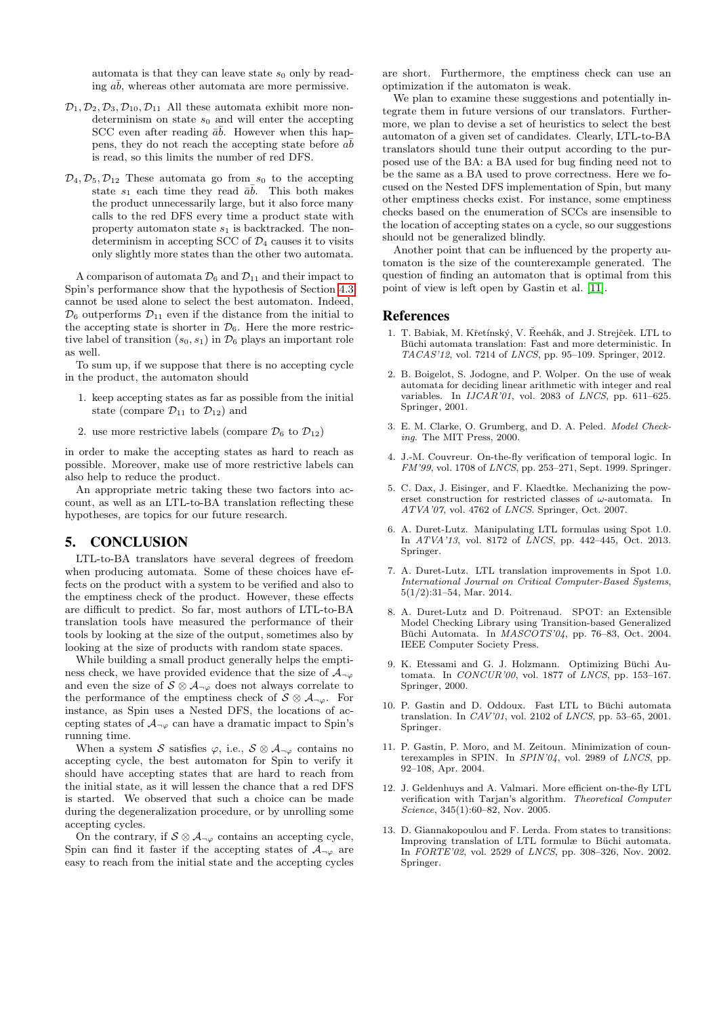automata is that they can leave state  $s_0$  only by reading  $a\bar{b}$ , whereas other automata are more permissive.

- $\mathcal{D}_1, \mathcal{D}_2, \mathcal{D}_3, \mathcal{D}_{10}, \mathcal{D}_{11}$  All these automata exhibit more nondeterminism on state  $s_0$  and will enter the accepting SCC even after reading  $\bar{a}\bar{b}$ . However when this happens, they do not reach the accepting state before  $a\bar{b}$ is read, so this limits the number of red DFS.
- $\mathcal{D}_4, \mathcal{D}_5, \mathcal{D}_{12}$  These automata go from  $s_0$  to the accepting state  $s_1$  each time they read  $\bar{a}\bar{b}$ . This both makes the product unnecessarily large, but it also force many calls to the red DFS every time a product state with property automaton state  $s_1$  is backtracked. The nondeterminism in accepting SCC of  $\mathcal{D}_4$  causes it to visits only slightly more states than the other two automata.

A comparison of automata  $\mathcal{D}_6$  and  $\mathcal{D}_{11}$  and their impact to Spin's performance show that the hypothesis of Section [4.3](#page-4-0) cannot be used alone to select the best automaton. Indeed,  $\mathcal{D}_6$  outperforms  $\mathcal{D}_{11}$  even if the distance from the initial to the accepting state is shorter in  $\mathcal{D}_6$ . Here the more restrictive label of transition  $(s_0, s_1)$  in  $\mathcal{D}_6$  plays an important role as well.

To sum up, if we suppose that there is no accepting cycle in the product, the automaton should

- 1. keep accepting states as far as possible from the initial state (compare  $\mathcal{D}_{11}$  to  $\mathcal{D}_{12}$ ) and
- 2. use more restrictive labels (compare  $\mathcal{D}_6$  to  $\mathcal{D}_{12}$ )

in order to make the accepting states as hard to reach as possible. Moreover, make use of more restrictive labels can also help to reduce the product.

An appropriate metric taking these two factors into account, as well as an LTL-to-BA translation reflecting these hypotheses, are topics for our future research.

### 5. CONCLUSION

LTL-to-BA translators have several degrees of freedom when producing automata. Some of these choices have effects on the product with a system to be verified and also to the emptiness check of the product. However, these effects are difficult to predict. So far, most authors of LTL-to-BA translation tools have measured the performance of their tools by looking at the size of the output, sometimes also by looking at the size of products with random state spaces.

While building a small product generally helps the emptiness check, we have provided evidence that the size of  $\mathcal{A}_{\neg\varphi}$ and even the size of  $S \otimes A_{\neg \varphi}$  does not always correlate to the performance of the emptiness check of  $S \otimes A_{\neg \varphi}$ . For instance, as Spin uses a Nested DFS, the locations of accepting states of  $A_{\neg \varphi}$  can have a dramatic impact to Spin's running time.

When a system S satisfies  $\varphi$ , i.e.,  $S \otimes A_{\neg \varphi}$  contains no accepting cycle, the best automaton for Spin to verify it should have accepting states that are hard to reach from the initial state, as it will lessen the chance that a red DFS is started. We observed that such a choice can be made during the degeneralization procedure, or by unrolling some accepting cycles.

On the contrary, if  $S \otimes A_{\neg \varphi}$  contains an accepting cycle, Spin can find it faster if the accepting states of  $A_{\neg\varphi}$  are easy to reach from the initial state and the accepting cycles

are short. Furthermore, the emptiness check can use an optimization if the automaton is weak.

We plan to examine these suggestions and potentially integrate them in future versions of our translators. Furthermore, we plan to devise a set of heuristics to select the best automaton of a given set of candidates. Clearly, LTL-to-BA translators should tune their output according to the purposed use of the BA: a BA used for bug finding need not to be the same as a BA used to prove correctness. Here we focused on the Nested DFS implementation of Spin, but many other emptiness checks exist. For instance, some emptiness checks based on the enumeration of SCCs are insensible to the location of accepting states on a cycle, so our suggestions should not be generalized blindly.

Another point that can be influenced by the property automaton is the size of the counterexample generated. The question of finding an automaton that is optimal from this point of view is left open by Gastin et al. [\[11\]](#page-7-11).

#### References

- <span id="page-7-4"></span>1. T. Babiak, M. Křetínský, V. Řeehák, and J. Strejček. LTL to Büchi automata translation: Fast and more deterministic. In TACAS'12, vol. 7214 of LNCS, pp. 95–109. Springer, 2012.
- <span id="page-7-12"></span>2. B. Boigelot, S. Jodogne, and P. Wolper. On the use of weak automata for deciding linear arithmetic with integer and real variables. In  $IJCAR'01$ , vol. 2083 of LNCS, pp. 611-625. Springer, 2001.
- <span id="page-7-2"></span>3. E. M. Clarke, O. Grumberg, and D. A. Peled. Model Checking. The MIT Press, 2000.
- <span id="page-7-6"></span>4. J.-M. Couvreur. On-the-fly verification of temporal logic. In FM'99, vol. 1708 of LNCS, pp. 253–271, Sept. 1999. Springer.
- <span id="page-7-1"></span>5. C. Dax, J. Eisinger, and F. Klaedtke. Mechanizing the powerset construction for restricted classes of ω-automata. In ATVA'07, vol. 4762 of LNCS. Springer, Oct. 2007.
- <span id="page-7-9"></span>6. A. Duret-Lutz. Manipulating LTL formulas using Spot 1.0. In ATVA'13, vol. 8172 of LNCS, pp. 442–445, Oct. 2013. Springer.
- <span id="page-7-5"></span>7. A. Duret-Lutz. LTL translation improvements in Spot 1.0. International Journal on Critical Computer-Based Systems, 5(1/2):31–54, Mar. 2014.
- <span id="page-7-8"></span>8. A. Duret-Lutz and D. Poitrenaud. SPOT: an Extensible Model Checking Library using Transition-based Generalized Büchi Automata. In  $\overline{MASCO}TS'04$ , pp. 76–83, Oct. 2004. IEEE Computer Society Press.
- <span id="page-7-0"></span>9. K. Etessami and G. J. Holzmann. Optimizing Büchi Automata. In CONCUR'00, vol. 1877 of LNCS, pp. 153–167. Springer, 2000.
- <span id="page-7-3"></span>10. P. Gastin and D. Oddoux. Fast LTL to Buchi automata ¨ translation. In CAV'01, vol. 2102 of LNCS, pp. 53–65, 2001. Springer.
- <span id="page-7-11"></span>11. P. Gastin, P. Moro, and M. Zeitoun. Minimization of counterexamples in SPIN. In SPIN'04, vol. 2989 of LNCS, pp. 92–108, Apr. 2004.
- <span id="page-7-10"></span>12. J. Geldenhuys and A. Valmari. More efficient on-the-fly LTL verification with Tarjan's algorithm. Theoretical Computer Science, 345(1):60–82, Nov. 2005.
- <span id="page-7-7"></span>13. D. Giannakopoulou and F. Lerda. From states to transitions: Improving translation of LTL formulæ to Büchi automata. In FORTE'02, vol. 2529 of LNCS, pp. 308–326, Nov. 2002. Springer.